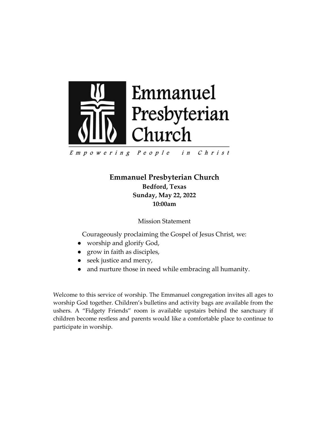

Empowering People in Christ

> **Emmanuel Presbyterian Church Bedford, Texas Sunday, May 22, 2022 10:00am**

> > Mission Statement

Courageously proclaiming the Gospel of Jesus Christ, we:

- worship and glorify God,
- grow in faith as disciples,
- seek justice and mercy,
- and nurture those in need while embracing all humanity.

Welcome to this service of worship. The Emmanuel congregation invites all ages to worship God together. Children's bulletins and activity bags are available from the ushers. A "Fidgety Friends" room is available upstairs behind the sanctuary if children become restless and parents would like a comfortable place to continue to participate in worship.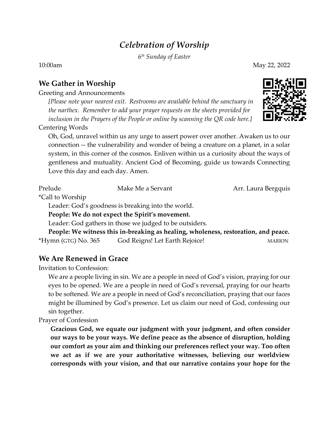# *Celebration of Worship*

*6 th Sunday of Easter*

#### **We Gather in Worship**

Greeting and Announcements

*[Please note your nearest exit. Restrooms are available behind the sanctuary in the narthex. Remember to add your prayer requests on the sheets provided for inclusion in the Prayers of the People or online by scanning the QR code here.]*

Centering Words

Oh, God, unravel within us any urge to assert power over another. Awaken us to our connection -- the vulnerability and wonder of being a creature on a planet, in a solar system, in this corner of the cosmos. Enliven within us a curiosity about the ways of gentleness and mutuality. Ancient God of Becoming, guide us towards Connecting Love this day and each day. Amen.

Prelude Make Me a Servant Make Me and Make Me a Servant Arr. Laura Bergquis

\*Call to Worship

Leader: God's goodness is breaking into the world.

**People: We do not expect the Spirit's movement.**

Leader: God gathers in those we judged to be outsiders.

**People: We witness this in-breaking as healing, wholeness, restoration, and peace.** \*Hymn (GTG) No. 365 God Reigns! Let Earth Rejoice! MARION

### **We Are Renewed in Grace**

Invitation to Confession:

We are a people living in sin. We are a people in need of God's vision, praying for our eyes to be opened. We are a people in need of God's reversal, praying for our hearts to be softened. We are a people in need of God's reconciliation, praying that our faces might be illumined by God's presence. Let us claim our need of God, confessing our sin together.

Prayer of Confession

**Gracious God, we equate our judgment with your judgment, and often consider our ways to be your ways. We define peace as the absence of disruption, holding our comfort as your aim and thinking our preferences reflect your way. Too often we act as if we are your authoritative witnesses, believing our worldview corresponds with your vision, and that our narrative contains your hope for the** 



10:00am May 22, 2022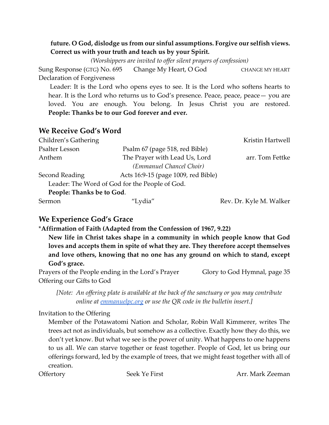#### **future. O God, dislodge us from our sinful assumptions. Forgive our selfish views. Correct us with your truth and teach us by your Spirit.**

*(Worshippers are invited to offer silent prayers of confession)*

Sung Response (GTG) No. 695 Change My Heart, O God CHANGE MY HEART Declaration of Forgiveness

Leader: It is the Lord who opens eyes to see. It is the Lord who softens hearts to hear. It is the Lord who returns us to God's presence. Peace, peace, peace — you are loved. You are enough. You belong. In Jesus Christ you are restored. **People: Thanks be to our God forever and ever.**

### **We Receive God's Word**

| Children's Gathering      |                                                | Kristin Hartwell        |
|---------------------------|------------------------------------------------|-------------------------|
| Psalter Lesson            | Psalm 67 (page 518, red Bible)                 |                         |
| Anthem                    | The Prayer with Lead Us, Lord                  | arr. Tom Fettke         |
|                           | (Emmanuel Chancel Choir)                       |                         |
| Second Reading            | Acts 16:9-15 (page 1009, red Bible)            |                         |
|                           | Leader: The Word of God for the People of God. |                         |
| People: Thanks be to God. |                                                |                         |
| Sermon                    | "Lydia"                                        | Rev. Dr. Kyle M. Walker |

## **We Experience God's Grace**

\***Affirmation of Faith (Adapted from the Confession of 1967, 9.22)** 

**New life in Christ takes shape in a community in which people know that God loves and accepts them in spite of what they are. They therefore accept themselves and love others, knowing that no one has any ground on which to stand, except God's grace.** 

Prayers of the People ending in the Lord's Prayer Glory to God Hymnal, page 35 Offering our Gifts to God

*[Note: An offering plate is available at the back of the sanctuary or you may contribute online at [emmanuelpc.org](https://emmanuelpc.org/) or use the QR code in the bulletin insert.]*

Invitation to the Offering

Member of the Potawatomi Nation and Scholar, Robin Wall Kimmerer, writes The trees act not as individuals, but somehow as a collective. Exactly how they do this, we don't yet know. But what we see is the power of unity. What happens to one happens to us all. We can starve together or feast together. People of God, let us bring our offerings forward, led by the example of trees, that we might feast together with all of creation.

Offertory Seek Ye First Arr. Mark Zeeman